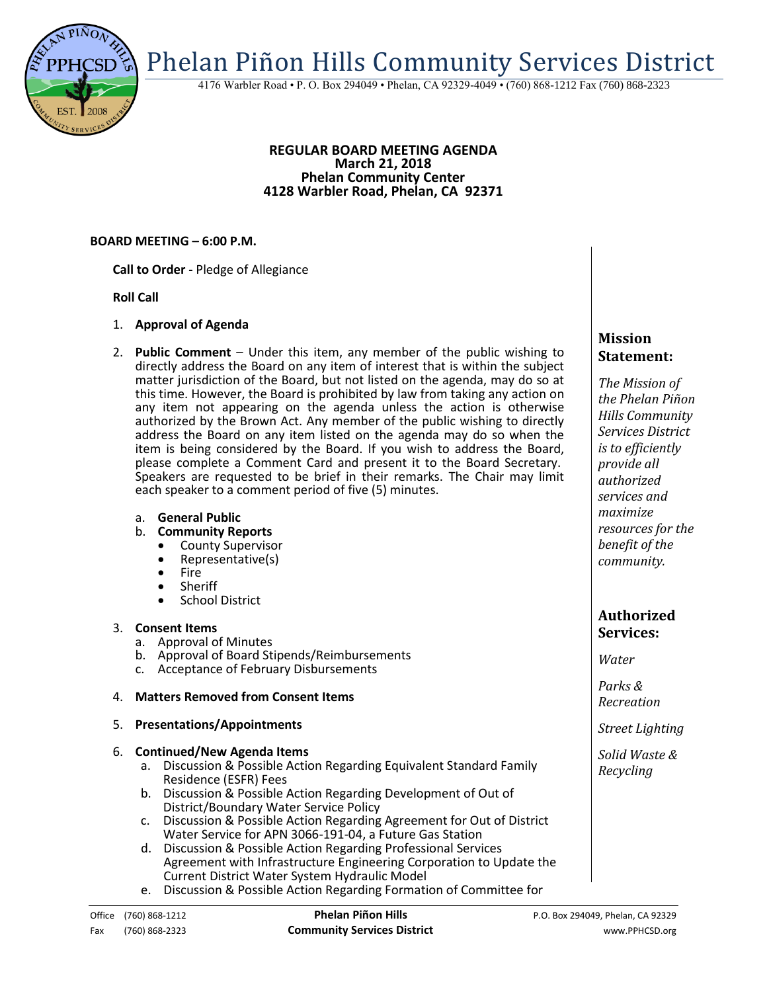Phelan Piñon Hills Community Services District

4176 Warbler Road • P. O. Box 294049 • Phelan, CA 92329-4049 • (760) 868-1212 Fax (760) 868-2323

#### **REGULAR BOARD MEETING AGENDA March 21, 2018 Phelan Community Center 4128 Warbler Road, Phelan, CA 92371**

#### **BOARD MEETING – 6:00 P.M.**

**Call to Order -** Pledge of Allegiance

#### **Roll Call**

- 1. **Approval of Agenda**
- 2. **Public Comment**  Under this item, any member of the public wishing to directly address the Board on any item of interest that is within the subject matter jurisdiction of the Board, but not listed on the agenda, may do so at this time. However, the Board is prohibited by law from taking any action on any item not appearing on the agenda unless the action is otherwise authorized by the Brown Act. Any member of the public wishing to directly address the Board on any item listed on the agenda may do so when the item is being considered by the Board. If you wish to address the Board, please complete a Comment Card and present it to the Board Secretary. Speakers are requested to be brief in their remarks. The Chair may limit each speaker to a comment period of five (5) minutes.
	- a. **General Public**
	- b. **Community Reports**
		- County Supervisor
		- Representative(s)
		- Fire
		- Sheriff
		- **•** School District

## 3. **Consent Items**

- a. Approval of Minutes
- b. Approval of Board Stipends/Reimbursements
- c. Acceptance of February Disbursements

## 4. **Matters Removed from Consent Items**

#### 5. **Presentations/Appointments**

#### 6. **Continued/New Agenda Items**

- a. Discussion & Possible Action Regarding Equivalent Standard Family Residence (ESFR) Fees
- b. Discussion & Possible Action Regarding Development of Out of District/Boundary Water Service Policy
- c. Discussion & Possible Action Regarding Agreement for Out of District Water Service for APN 3066-191-04, a Future Gas Station
- d. Discussion & Possible Action Regarding Professional Services Agreement with Infrastructure Engineering Corporation to Update the Current District Water System Hydraulic Model
- e. Discussion & Possible Action Regarding Formation of Committee for

# **Mission Statement:**

*The Mission of the Phelan Piñon Hills Community Services District is to efficiently provide all authorized services and maximize resources for the benefit of the community.*

## **Authorized Services:**

*Water*

*Parks & Recreation*

*Street Lighting*

*Solid Waste & Recycling*